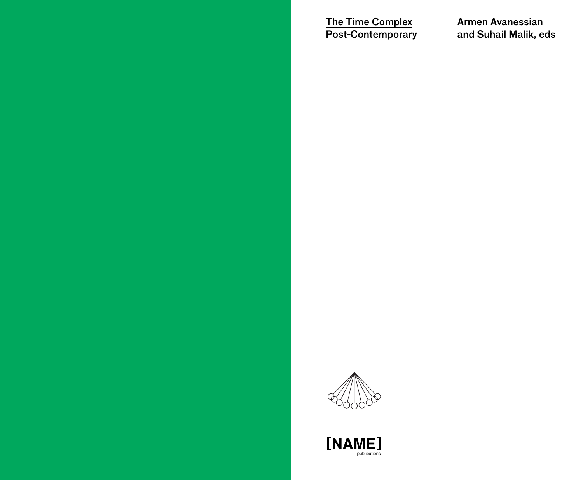The Time Complex Post-Contemporary Armen Avanessian and Suhail Malik, eds



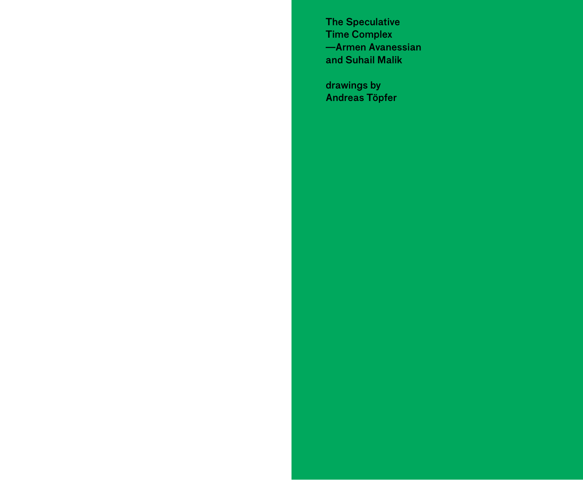The Speculative Time Complex —Armen Avanessian and Suhail Malik

drawings by Andreas Töpfer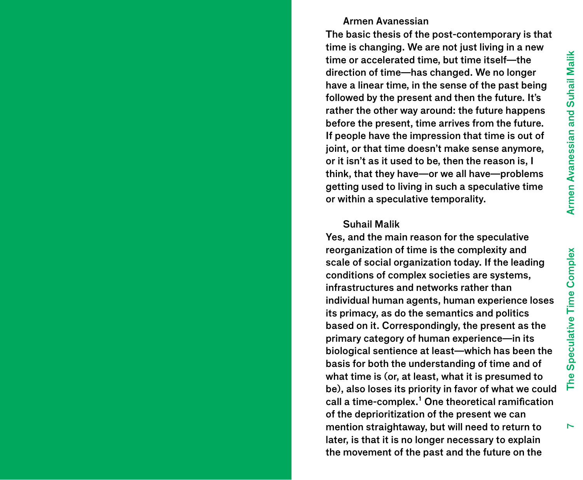#### Armen Avanessian

The basic thesis of the post-contemporary is that time is changing. We are not just living in a new time or accelerated time, but time itself—the direction of time—has changed. We no longer have a linear time, in the sense of the past being followed by the present and then the future. It's rather the other way around: the future happens before the present, time arrives from the future. If people have the impression that time is out of joint, or that time doesn't make sense anymore, or it isn't as it used to be, then the reason is, I think, that they have—or we all have—problems getting used to living in such a speculative time or within a speculative temporality.

#### Suhail Malik

Yes, and the main reason for the speculative reorganization of time is the complexity and scale of social organization today. If the leading conditions of complex societies are systems, infrastructures and networks rather than individual human agents, human experience loses its primacy, as do the semantics and politics based on it. Correspondingly, the present as the primary category of human experience—in its biological sentience at least—which has been the basis for both the understanding of time and of what time is (or, at least, what it is presumed to be), also loses its priority in favor of what we could call a time-complex.<sup>1</sup> One theoretical ramification of the deprioritization of the present we can mention straightaway, but will need to return to later, is that it is no longer necessary to explain the movement of the past and the future on the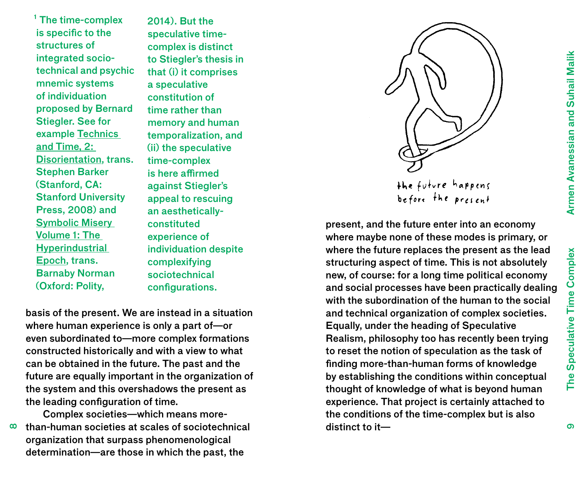$<sup>1</sup>$  The time-complex</sup> is specific to the structures of integrated sociotechnical and psychic mnemic systems of individuation proposed by Bernard Stiegler. See for example Technics and Time, 2: Disorientation, trans. Stephen Barker (Stanford, CA: Stanford University Press, 2008) and Symbolic Misery Volume 1: The **Hyperindustrial** Epoch, trans. Barnaby Norman (Oxford: Polity,

2014). But the speculative timecomplex is distinct to Stiegler's thesis in that (i) it comprises a speculative constitution of time rather than memory and human temporalization, and (ii) the speculative time-complex is here affirmed against Stiegler's appeal to rescuing an aestheticallyconstituted experience of individuation despite complexifying sociotechnical configurations.

basis of the present. We are instead in a situation where human experience is only a part of—or even subordinated to—more complex formations constructed historically and with a view to what can be obtained in the future. The past and the future are equally important in the organization of the system and this overshadows the present as the leading configuration of time.

Complex societies—which means morethan-human societies at scales of sociotechnical

 $\infty$ organization that surpass phenomenological determination—are those in which the past, the



present, and the future enter into an economy where maybe none of these modes is primary, or where the future replaces the present as the lead structuring aspect of time. This is not absolutely new, of course: for a long time political economy and social processes have been practically dealing with the subordination of the human to the social and technical organization of complex societies. Equally, under the heading of Speculative Realism, philosophy too has recently been trying to reset the notion of speculation as the task of finding more-than-human forms of knowledge by establishing the conditions within conceptual thought of knowledge of what is beyond human experience. That project is certainly attached to the conditions of the time-complex but is also distinct to it—

The Speculative Time Complex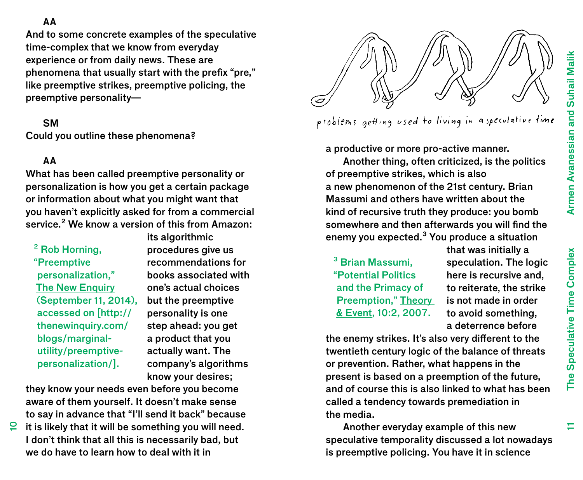## AA

And to some concrete examples of the speculative time-complex that we know from everyday experience or from daily news. These are phenomena that usually start with the prefix "pre," like preemptive strikes, preemptive policing, the preemptive personality—

## **SM**

Could you outline these phenomena?

# AA

What has been called preemptive personality or personalization is how you get a certain package or information about what you might want that you haven't explicitly asked for from a commercial service.<sup>2</sup> We know a version of this from Amazon:

² Rob Horning, "Preemptive personalization," **The New Enquiry** (September 11, 2014), accessed on [http:// thenewinquiry.com/ blogs/marginalutility/preemptivepersonalization/].

its algorithmic procedures give us recommendations for books associated with one's actual choices but the preemptive personality is one step ahead: you get a product that you actually want. The company's algorithms know your desires;

they know your needs even before you become aware of them yourself. It doesn't make sense to say in advance that "I'll send it back" because

 $\Omega$  it is likely that it will be something you will need. I don't think that all this is necessarily bad, but we do have to learn how to deal with it in



problems getting used to living in aspeculative time

a productive or more pro-active manner.

Another thing, often criticized, is the politics of preemptive strikes, which is also a new phenomenon of the 21st century. Brian Massumi and others have written about the kind of recursive truth they produce: you bomb somewhere and then afterwards you will find the enemy you expected.<sup>3</sup> You produce a situation

<sup>3</sup> Brian Massumi. "Potential Politics and the Primacy of Preemption," Theory & Event, 10:2, 2007.

that was initially a speculation. The logic here is recursive and, to reiterate, the strike is not made in order to avoid something, a deterrence before

the enemy strikes. It's also very different to the twentieth century logic of the balance of threats or prevention. Rather, what happens in the present is based on a preemption of the future, and of course this is also linked to what has been called a tendency towards premediation in the media.

Another everyday example of this new speculative temporality discussed a lot nowadays is preemptive policing. You have it in science

11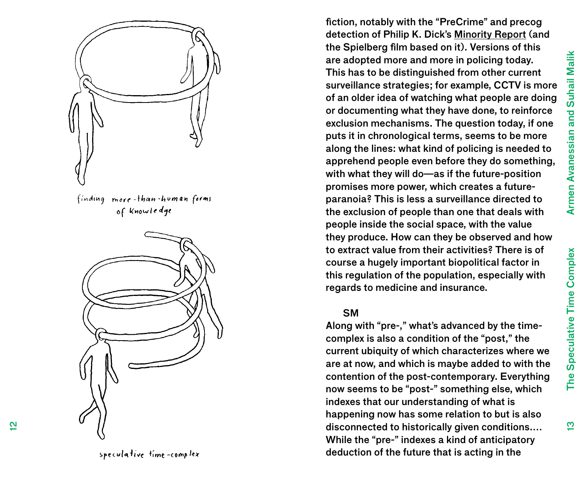$\bar{\omega}$ 



fiction, notably with the "PreCrime" and precog detection of Philip K. Dick's Minority Report (and the Spielberg film based on it). Versions of this are adopted more and more in policing today. This has to be distinguished from other current surveillance strategies; for example, CCTV is more of an older idea of watching what people are doing or documenting what they have done, to reinforce exclusion mechanisms. The question today, if one puts it in chronological terms, seems to be more along the lines: what kind of policing is needed to apprehend people even before they do something, with what they will do—as if the future-position promises more power, which creates a futureparanoia? This is less a surveillance directed to the exclusion of people than one that deals with people inside the social space, with the value they produce. How can they be observed and how to extract value from their activities? There is of course a hugely important biopolitical factor in this regulation of the population, especially with regards to medicine and insurance.

#### **SM**

Along with "pre-," what's advanced by the timecomplex is also a condition of the "post," the current ubiquity of which characterizes where we are at now, and which is maybe added to with the contention of the post-contemporary. Everything now seems to be "post-" something else, which indexes that our understanding of what is happening now has some relation to but is also disconnected to historically given conditions.… While the "pre-" indexes a kind of anticipatory deduction of the future that is acting in the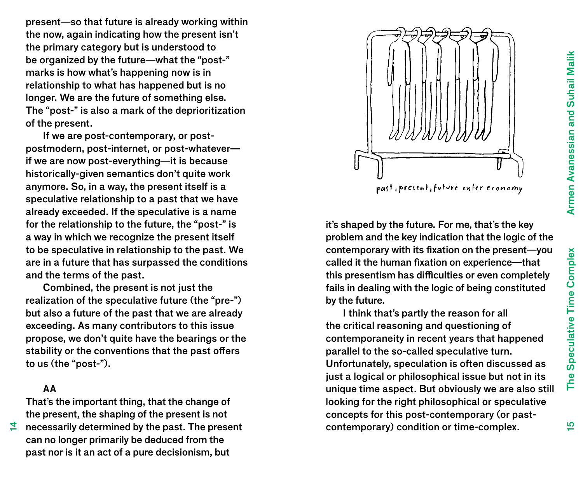present—so that future is already working within the now, again indicating how the present isn't the primary category but is understood to be organized by the future—what the "post-" marks is how what's happening now is in relationship to what has happened but is no longer. We are the future of something else. The "post-" is also a mark of the deprioritization of the present.

If we are post-contemporary, or postpostmodern, post-internet, or post-whatever if we are now post-everything—it is because historically-given semantics don't quite work anymore. So, in a way, the present itself is a speculative relationship to a past that we have already exceeded. If the speculative is a name for the relationship to the future, the "post-" is a way in which we recognize the present itself to be speculative in relationship to the past. We are in a future that has surpassed the conditions and the terms of the past.

Combined, the present is not just the realization of the speculative future (the "pre-") but also a future of the past that we are already exceeding. As many contributors to this issue propose, we don't quite have the bearings or the stability or the conventions that the past offers to us (the "post-").

## AA

4

That's the important thing, that the change of the present, the shaping of the present is not

necessarily determined by the past. The present can no longer primarily be deduced from the past nor is it an act of a pure decisionism, but

it's shaped by the future. For me, that's the key problem and the key indication that the logic of the contemporary with its fixation on the present—you called it the human fixation on experience—that this presentism has difficulties or even completely fails in dealing with the logic of being constituted by the future.

I think that's partly the reason for all the critical reasoning and questioning of contemporaneity in recent years that happened parallel to the so-called speculative turn. Unfortunately, speculation is often discussed as just a logical or philosophical issue but not in its unique time aspect. But obviously we are also still looking for the right philosophical or speculative concepts for this post-contemporary (or pastcontemporary) condition or time-complex.

15

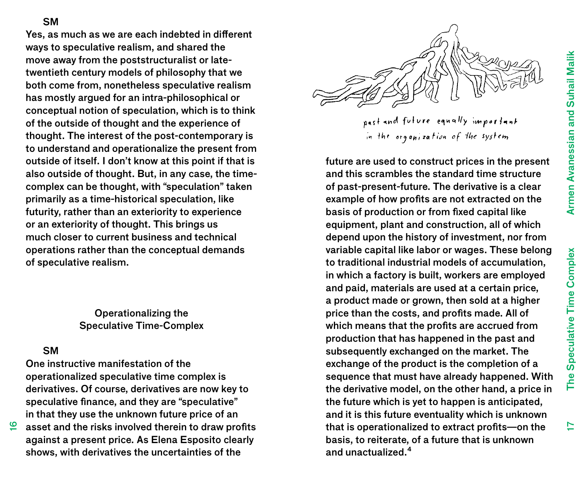**SM** 

Yes, as much as we are each indebted in different ways to speculative realism, and shared the move away from the poststructuralist or latetwentieth century models of philosophy that we both come from, nonetheless speculative realism has mostly argued for an intra-philosophical or conceptual notion of speculation, which is to think of the outside of thought and the experience of thought. The interest of the post-contemporary is to understand and operationalize the present from outside of itself. I don't know at this point if that is also outside of thought. But, in any case, the timecomplex can be thought, with "speculation" taken primarily as a time-historical speculation, like futurity, rather than an exteriority to experience or an exteriority of thought. This brings us much closer to current business and technical operations rather than the conceptual demands of speculative realism.

> Operationalizing the Speculative Time-Complex

## SM

 $\tilde{\mathbf{6}}$ 

One instructive manifestation of the operationalized speculative time complex is derivatives. Of course, derivatives are now key to speculative finance, and they are "speculative" in that they use the unknown future price of an

asset and the risks involved therein to draw profits against a present price. As Elena Esposito clearly shows, with derivatives the uncertainties of the



past and future equally important in the organization of the system

future are used to construct prices in the present and this scrambles the standard time structure of past-present-future. The derivative is a clear example of how profits are not extracted on the basis of production or from fixed capital like equipment, plant and construction, all of which depend upon the history of investment, nor from variable capital like labor or wages. These belong to traditional industrial models of accumulation, in which a factory is built, workers are employed and paid, materials are used at a certain price, a product made or grown, then sold at a higher price than the costs, and profits made. All of which means that the profits are accrued from production that has happened in the past and subsequently exchanged on the market. The exchange of the product is the completion of a sequence that must have already happened. With the derivative model, on the other hand, a price in the future which is yet to happen is anticipated, and it is this future eventuality which is unknown that is operationalized to extract profits—on the basis, to reiterate, of a future that is unknown and unactualized.<sup>4</sup>

17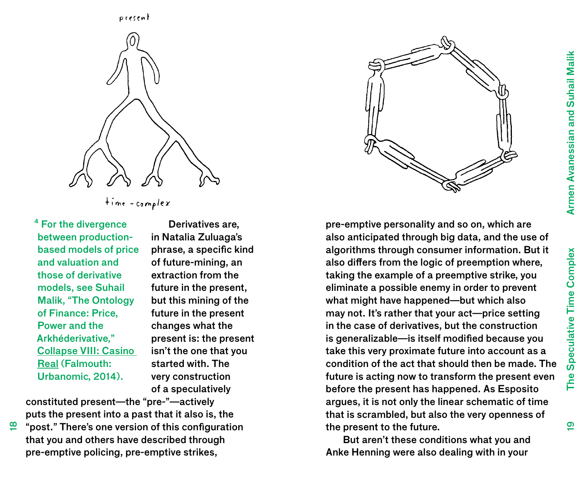$\overline{\mathbf{e}}$ 



<sup>4</sup> For the divergence between productionbased models of price and valuation and those of derivative models, see Suhail Malik, "The Ontology of Finance: Price, Power and the Arkhéderivative," Collapse VIII: Casino Real (Falmouth: Urbanomic, 2014).

<u>ლ</u>

Derivatives are, in Natalia Zuluaga's phrase, a specific kind of future-mining, an extraction from the future in the present, but this mining of the future in the present changes what the present is: the present isn't the one that you started with. The very construction of a speculatively

constituted present—the "pre-"—actively puts the present into a past that it also is, the

"post." There's one version of this configuration that you and others have described through pre-emptive policing, pre-emptive strikes,



pre-emptive personality and so on, which are also anticipated through big data, and the use of algorithms through consumer information. But it also differs from the logic of preemption where, taking the example of a preemptive strike, you eliminate a possible enemy in order to prevent what might have happened—but which also may not. It's rather that your act—price setting in the case of derivatives, but the construction is generalizable—is itself modified because you take this very proximate future into account as a condition of the act that should then be made. The future is acting now to transform the present even before the present has happened. As Esposito argues, it is not only the linear schematic of time that is scrambled, but also the very openness of the present to the future.

But aren't these conditions what you and Anke Henning were also dealing with in your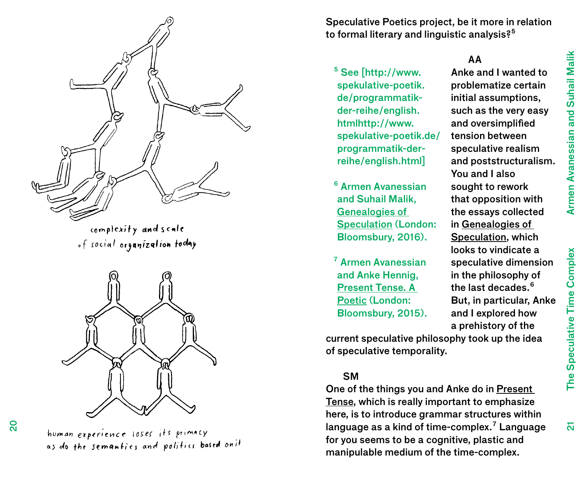

complexity and scale of social organization today



homan experience loses its primacy as do the semantics and politics based on it

Speculative Poetics project, be it more in relation to formal literary and linguistic analysis?<sup>5</sup>

#### AA Anke and I wanted to

You and I also sought to rework that opposition with the essays collected in Genealogies of Speculation, which looks to vindicate a speculative dimension in the philosophy of the last decades.<sup>6</sup> But, in particular, Anke and I explored how

problematize certain initial assumptions, such as the very easy and oversimplified tension between speculative realism and poststructuralism.

⁵ See [http://www. spekulative-poetik. de/programmatikder-reihe/english. htmlhttp://www. spekulative-poetik.de/ programmatik-derreihe/english.html]

⁶ Armen Avanessian and Suhail Malik, Genealogies of Speculation (London: Bloomsbury, 2016).

⁷ Armen Avanessian and Anke Hennig, Present Tense. A Poetic (London: Bloomsbury, 2015).

a prehistory of the current speculative philosophy took up the idea of speculative temporality.

## **SM**

One of the things you and Anke do in Present Tense, which is really important to emphasize here, is to introduce grammar structures within language as a kind of time-complex.<sup>7</sup> Language for you seems to be a cognitive, plastic and manipulable medium of the time-complex.

 $\overline{\mathsf{a}}$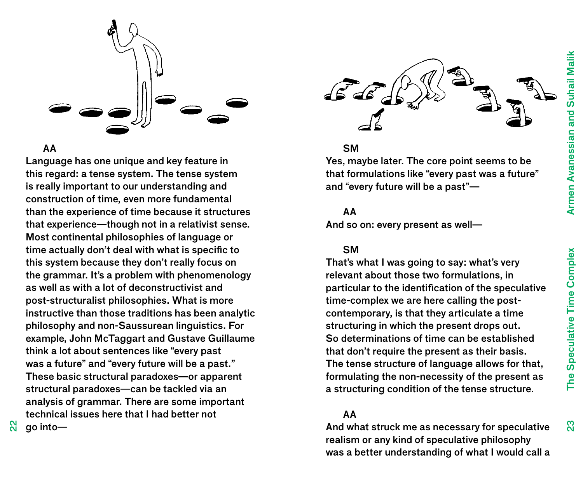

#### AA

Language has one unique and key feature in this regard: a tense system. The tense system is really important to our understanding and construction of time, even more fundamental than the experience of time because it structures that experience—though not in a relativist sense. Most continental philosophies of language or time actually don't deal with what is specific to this system because they don't really focus on the grammar. It's a problem with phenomenology as well as with a lot of deconstructivist and post-structuralist philosophies. What is more instructive than those traditions has been analytic philosophy and non-Saussurean linguistics. For example, John McTaggart and Gustave Guillaume think a lot about sentences like "every past was a future" and "every future will be a past." These basic structural paradoxes—or apparent structural paradoxes—can be tackled via an analysis of grammar. There are some important technical issues here that I had better not go into—



### **SM**

Yes, maybe later. The core point seems to be that formulations like "every past was a future" and "every future will be a past"—

### AA

And so on: every present as well—

## **SM**

That's what I was going to say: what's very relevant about those two formulations, in particular to the identification of the speculative time-complex we are here calling the postcontemporary, is that they articulate a time structuring in which the present drops out. So determinations of time can be established that don't require the present as their basis. The tense structure of language allows for that, formulating the non-necessity of the present as a structuring condition of the tense structure.

# AA

And what struck me as necessary for speculative realism or any kind of speculative philosophy was a better understanding of what I would call a  $\mathbb{S}^3$ 

 $\mathbf{a}$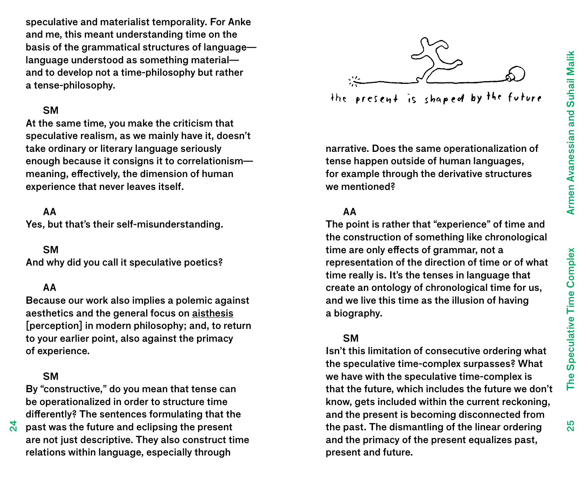speculative and materialist temporality. For Anke and me, this meant understanding time on the basis of the grammatical structures of language language understood as something material and to develop not a time-philosophy but rather a tense-philosophy.

## SM

At the same time, you make the criticism that speculative realism, as we mainly have it, doesn't take ordinary or literary language seriously enough because it consigns it to correlationism meaning, effectively, the dimension of human experience that never leaves itself.

### AA

Yes, but that's their self-misunderstanding.

**SM** 

And why did you call it speculative poetics?

#### AA

Because our work also implies a polemic against aesthetics and the general focus on aisthesis [perception] in modern philosophy; and, to return to your earlier point, also against the primacy of experience.

## **SM**

ম<br>ম

By "constructive," do you mean that tense can be operationalized in order to structure time differently? The sentences formulating that the

past was the future and eclipsing the present are not just descriptive. They also construct time relations within language, especially through



the present is shaped by the future

narrative. Does the same operationalization of tense happen outside of human languages, for example through the derivative structures we mentioned?

## AA

The point is rather that "experience" of time and the construction of something like chronological time are only effects of grammar, not a representation of the direction of time or of what time really is. It's the tenses in language that create an ontology of chronological time for us, and we live this time as the illusion of having a biography.

### SM

Isn't this limitation of consecutive ordering what the speculative time-complex surpasses? What we have with the speculative time-complex is that the future, which includes the future we don't know, gets included within the current reckoning, and the present is becoming disconnected from the past. The dismantling of the linear ordering and the primacy of the present equalizes past, present and future.

25<br>26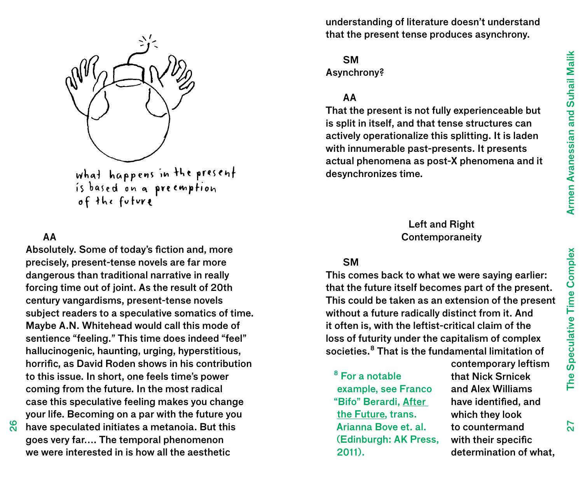

what happens in the present<br>is based on a preemption<br>of the foture

# AA

Absolutely. Some of today's fiction and, more precisely, present-tense novels are far more dangerous than traditional narrative in really forcing time out of joint. As the result of 20th century vangardisms, present-tense novels subject readers to a speculative somatics of time. Maybe A.N. Whitehead would call this mode of sentience "feeling." This time does indeed "feel" hallucinogenic, haunting, urging, hyperstitious, horrific, as David Roden shows in his contribution to this issue. In short, one feels time's power coming from the future. In the most radical case this speculative feeling makes you change your life. Becoming on a par with the future you have speculated initiates a metanoia. But this goes very far…. The temporal phenomenon

we were interested in is how all the aesthetic

©<br>೧

understanding of literature doesn't understand that the present tense produces asynchrony.

**SM** Asynchrony?

# AA

That the present is not fully experienceable but is split in itself, and that tense structures can actively operationalize this splitting. It is laden with innumerable past-presents. It presents actual phenomena as post-X phenomena and it desynchronizes time.

## Left and Right Contemporaneity

## **SM**

This comes back to what we were saying earlier: that the future itself becomes part of the present. This could be taken as an extension of the present without a future radically distinct from it. And it often is, with the leftist-critical claim of the loss of futurity under the capitalism of complex societies.<sup>8</sup> That is the fundamental limitation of

<sup>8</sup> For a notable example, see Franco "Bifo" Berardi, After the Future, trans. Arianna Bove et. al. (Edinburgh: AK Press, 2011).

contemporary leftism that Nick Srnicek and Alex Williams have identified, and which they look to countermand with their specific determination of what,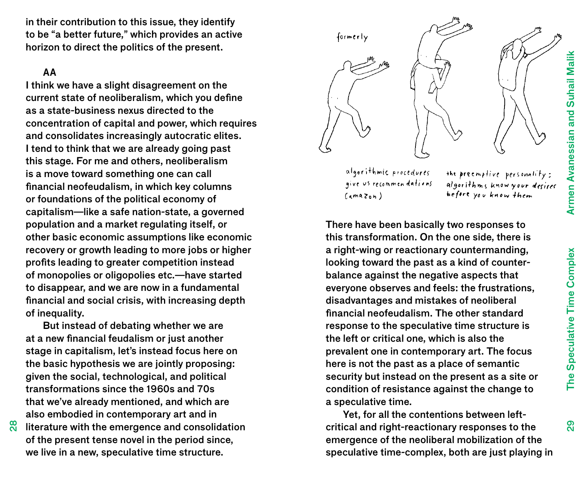in their contribution to this issue, they identify to be "a better future," which provides an active horizon to direct the politics of the present.

## AA

<u>ಇ</u><br>೧

I think we have a slight disagreement on the current state of neoliberalism, which you define as a state-business nexus directed to the concentration of capital and power, which requires and consolidates increasingly autocratic elites. I tend to think that we are already going past this stage. For me and others, neoliberalism is a move toward something one can call financial neofeudalism, in which key columns or foundations of the political economy of capitalism—like a safe nation-state, a governed population and a market regulating itself, or other basic economic assumptions like economic recovery or growth leading to more jobs or higher profits leading to greater competition instead of monopolies or oligopolies etc.—have started to disappear, and we are now in a fundamental financial and social crisis, with increasing depth of inequality.

But instead of debating whether we are at a new financial feudalism or just another stage in capitalism, let's instead focus here on the basic hypothesis we are jointly proposing: given the social, technological, and political transformations since the 1960s and 70s that we've already mentioned, and which are also embodied in contemporary art and in

literature with the emergence and consolidation of the present tense novel in the period since, we live in a new, speculative time structure.



algorithmic procedures give us recommendations  $(nmaxon)$ 

the preemptive personality: algorithms know your desires before you know them

There have been basically two responses to this transformation. On the one side, there is a right-wing or reactionary countermanding, looking toward the past as a kind of counterbalance against the negative aspects that everyone observes and feels: the frustrations, disadvantages and mistakes of neoliberal financial neofeudalism. The other standard response to the speculative time structure is the left or critical one, which is also the prevalent one in contemporary art. The focus here is not the past as a place of semantic security but instead on the present as a site or condition of resistance against the change to a speculative time.

Yet, for all the contentions between leftcritical and right-reactionary responses to the emergence of the neoliberal mobilization of the speculative time-complex, both are just playing in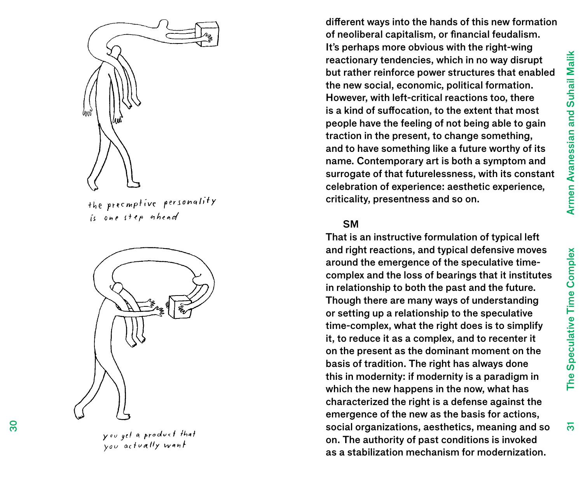$\overline{5}$ 



the preemptive personality is one step onhead



you get a product that you actually want

different ways into the hands of this new formation of neoliberal capitalism, or financial feudalism. It's perhaps more obvious with the right-wing reactionary tendencies, which in no way disrupt but rather reinforce power structures that enabled the new social, economic, political formation. However, with left-critical reactions too, there is a kind of suffocation, to the extent that most people have the feeling of not being able to gain traction in the present, to change something, and to have something like a future worthy of its name. Contemporary art is both a symptom and surrogate of that futurelessness, with its constant celebration of experience: aesthetic experience, criticality, presentness and so on.

#### **SM**

That is an instructive formulation of typical left and right reactions, and typical defensive moves around the emergence of the speculative timecomplex and the loss of bearings that it institutes in relationship to both the past and the future. Though there are many ways of understanding or setting up a relationship to the speculative time-complex, what the right does is to simplify it, to reduce it as a complex, and to recenter it on the present as the dominant moment on the basis of tradition. The right has always done this in modernity: if modernity is a paradigm in which the new happens in the now, what has characterized the right is a defense against the emergence of the new as the basis for actions, social organizations, aesthetics, meaning and so on. The authority of past conditions is invoked as a stabilization mechanism for modernization.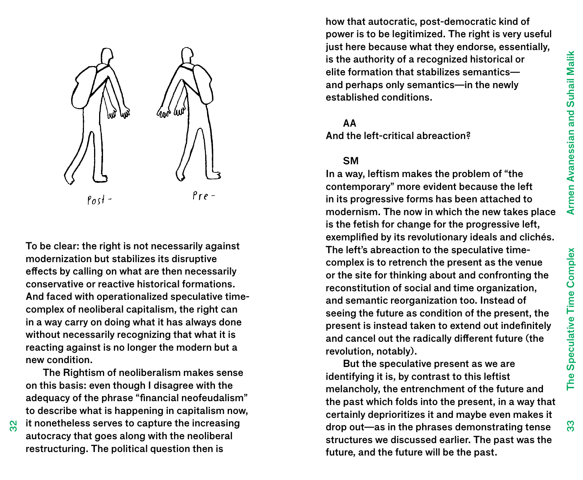33

The Speculative Time Complex



To be clear: the right is not necessarily against modernization but stabilizes its disruptive effects by calling on what are then necessarily conservative or reactive historical formations. And faced with operationalized speculative timecomplex of neoliberal capitalism, the right can in a way carry on doing what it has always done without necessarily recognizing that what it is reacting against is no longer the modern but a new condition.

The Rightism of neoliberalism makes sense on this basis: even though I disagree with the adequacy of the phrase "financial neofeudalism" to describe what is happening in capitalism now, it nonetheless serves to capture the increasing autocracy that goes along with the neoliberal restructuring. The political question then is

how that autocratic, post-democratic kind of power is to be legitimized. The right is very useful just here because what they endorse, essentially, is the authority of a recognized historical or elite formation that stabilizes semantics and perhaps only semantics—in the newly established conditions.

#### AA

And the left-critical abreaction?

### **SM**

In a way, leftism makes the problem of "the contemporary" more evident because the left in its progressive forms has been attached to modernism. The now in which the new takes place is the fetish for change for the progressive left, exemplified by its revolutionary ideals and clichés. The left's abreaction to the speculative timecomplex is to retrench the present as the venue or the site for thinking about and confronting the reconstitution of social and time organization, and semantic reorganization too. Instead of seeing the future as condition of the present, the present is instead taken to extend out indefinitely and cancel out the radically different future (the revolution, notably).

But the speculative present as we are identifying it is, by contrast to this leftist melancholy, the entrenchment of the future and the past which folds into the present, in a way that certainly deprioritizes it and maybe even makes it drop out—as in the phrases demonstrating tense structures we discussed earlier. The past was the future, and the future will be the past.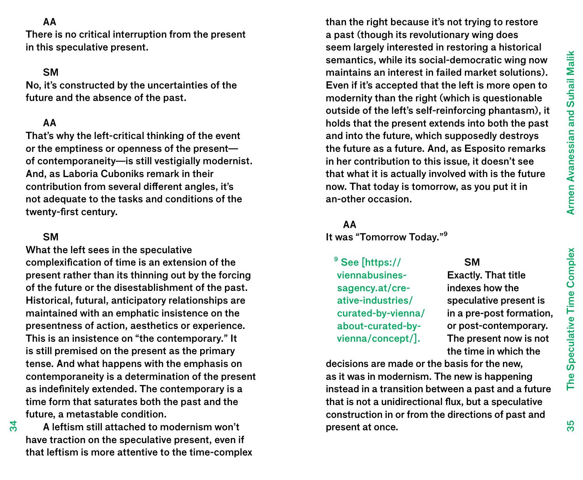## AA

There is no critical interruption from the present in this speculative present.

## **SM**

No, it's constructed by the uncertainties of the future and the absence of the past.

### AA

That's why the left-critical thinking of the event or the emptiness or openness of the present of contemporaneity—is still vestigially modernist. And, as Laboria Cuboniks remark in their contribution from several different angles, it's not adequate to the tasks and conditions of the twenty-first century.

## SM

34

What the left sees in the speculative complexification of time is an extension of the present rather than its thinning out by the forcing of the future or the disestablishment of the past. Historical, futural, anticipatory relationships are maintained with an emphatic insistence on the presentness of action, aesthetics or experience. This is an insistence on "the contemporary." It is still premised on the present as the primary tense. And what happens with the emphasis on contemporaneity is a determination of the present as indefinitely extended. The contemporary is a time form that saturates both the past and the future, a metastable condition.

A leftism still attached to modernism won't have traction on the speculative present, even if that leftism is more attentive to the time-complex

than the right because it's not trying to restore a past (though its revolutionary wing does seem largely interested in restoring a historical semantics, while its social-democratic wing now maintains an interest in failed market solutions). Even if it's accepted that the left is more open to modernity than the right (which is questionable outside of the left's self-reinforcing phantasm), it holds that the present extends into both the past and into the future, which supposedly destroys the future as a future. And, as Esposito remarks in her contribution to this issue, it doesn't see that what it is actually involved with is the future now. That today is tomorrow, as you put it in an-other occasion.

#### AA

It was "Tomorrow Today."<sup>9</sup>

<sup>9</sup> See [https:// viennabusinessagency.at/creative-industries/ curated-by-vienna/ about-curated-byvienna/concept/].

#### **SM**

Exactly. That title indexes how the speculative present is in a pre-post formation, or post-contemporary. The present now is not the time in which the

decisions are made or the basis for the new, as it was in modernism. The new is happening instead in a transition between a past and a future that is not a unidirectional flux, but a speculative construction in or from the directions of past and present at once.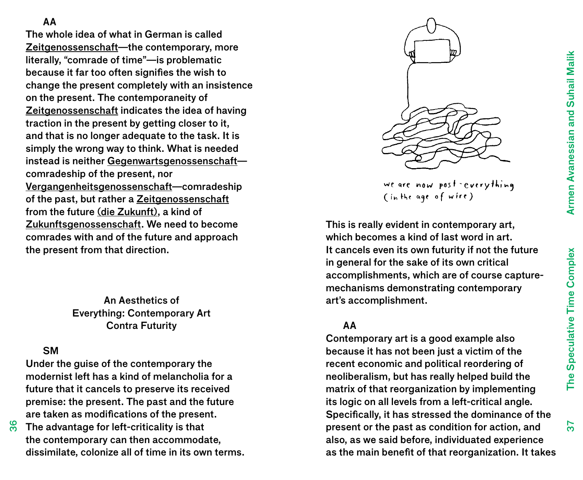AA

The whole idea of what in German is called Zeitgenossenschaft—the contemporary, more literally, "comrade of time"—is problematic because it far too often signifies the wish to change the present completely with an insistence on the present. The contemporaneity of Zeitgenossenschaft indicates the idea of having traction in the present by getting closer to it, and that is no longer adequate to the task. It is simply the wrong way to think. What is needed instead is neither Gegenwartsgenossenschaft comradeship of the present, nor Vergangenheitsgenossenschaft—comradeship of the past, but rather a Zeitgenossenschaft from the future (die Zukunft), a kind of Zukunftsgenossenschaft. We need to become comrades with and of the future and approach the present from that direction.

> An Aesthetics of Everything: Contemporary Art Contra Futurity

# **SM**

**დ** 

Under the guise of the contemporary the modernist left has a kind of melancholia for a future that it cancels to preserve its received premise: the present. The past and the future are taken as modifications of the present.

The advantage for left-criticality is that the contemporary can then accommodate, dissimilate, colonize all of time in its own terms.



we are now post-everything (in the age of wire)

This is really evident in contemporary art, which becomes a kind of last word in art. It cancels even its own futurity if not the future in general for the sake of its own critical accomplishments, which are of course capturemechanisms demonstrating contemporary art's accomplishment.

## AA

Contemporary art is a good example also because it has not been just a victim of the recent economic and political reordering of neoliberalism, but has really helped build the matrix of that reorganization by implementing its logic on all levels from a left-critical angle. Specifically, it has stressed the dominance of the present or the past as condition for action, and also, as we said before, individuated experience as the main benefit of that reorganization. It takes

37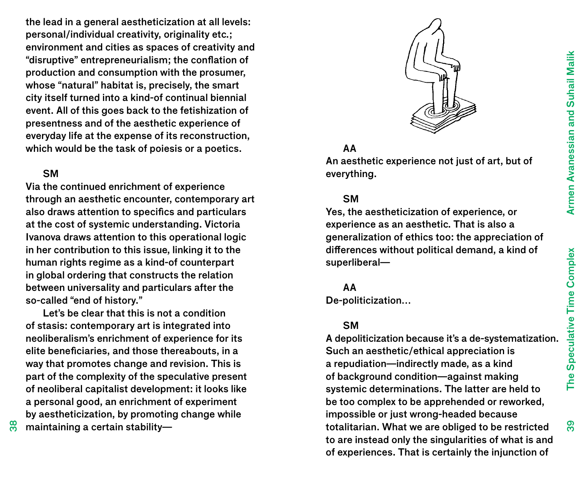the lead in a general aestheticization at all levels: personal/individual creativity, originality etc.; environment and cities as spaces of creativity and "disruptive" entrepreneurialism; the conflation of production and consumption with the prosumer, whose "natural" habitat is, precisely, the smart city itself turned into a kind-of continual biennial event. All of this goes back to the fetishization of presentness and of the aesthetic experience of everyday life at the expense of its reconstruction, which would be the task of poiesis or a poetics.

## SM

Via the continued enrichment of experience through an aesthetic encounter, contemporary art also draws attention to specifics and particulars at the cost of systemic understanding. Victoria Ivanova draws attention to this operational logic in her contribution to this issue, linking it to the human rights regime as a kind-of counterpart in global ordering that constructs the relation between universality and particulars after the so-called "end of history."

Let's be clear that this is not a condition of stasis: contemporary art is integrated into neoliberalism's enrichment of experience for its elite beneficiaries, and those thereabouts, in a way that promotes change and revision. This is part of the complexity of the speculative present of neoliberal capitalist development: it looks like a personal good, an enrichment of experiment by aestheticization, by promoting change while maintaining a certain stability—



# AA

An aesthetic experience not just of art, but of everything.

### **SM**

Yes, the aestheticization of experience, or experience as an aesthetic. That is also a generalization of ethics too: the appreciation of differences without political demand, a kind of superliberal—

#### AA

De-politicization…

## SM

A depoliticization because it's a de-systematization. Such an aesthetic/ethical appreciation is a repudiation—indirectly made, as a kind of background condition—against making systemic determinations. The latter are held to be too complex to be apprehended or reworked, impossible or just wrong-headed because totalitarian. What we are obliged to be restricted to are instead only the singularities of what is and of experiences. That is certainly the injunction of

38

The Speculative Time Complex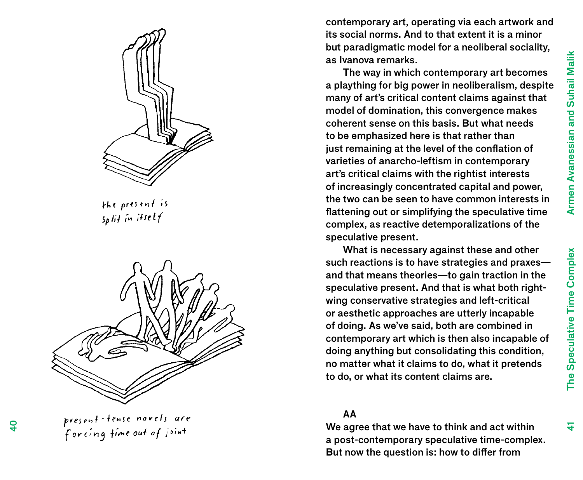

the present is  $s$ plit in itself



present tense novels are<br>forcing time out of joint

contemporary art, operating via each artwork and its social norms. And to that extent it is a minor but paradigmatic model for a neoliberal sociality, as Ivanova remarks.

The way in which contemporary art becomes a plaything for big power in neoliberalism, despite many of art's critical content claims against that model of domination, this convergence makes coherent sense on this basis. But what needs to be emphasized here is that rather than just remaining at the level of the conflation of varieties of anarcho-leftism in contemporary art's critical claims with the rightist interests of increasingly concentrated capital and power, the two can be seen to have common interests in flattening out or simplifying the speculative time complex, as reactive detemporalizations of the speculative present.

What is necessary against these and other such reactions is to have strategies and praxes and that means theories—to gain traction in the speculative present. And that is what both rightwing conservative strategies and left-critical or aesthetic approaches are utterly incapable of doing. As we've said, both are combined in contemporary art which is then also incapable of doing anything but consolidating this condition, no matter what it claims to do, what it pretends to do, or what its content claims are.

### AA

We agree that we have to think and act within a post-contemporary speculative time-complex. But now the question is: how to differ from

The Speculative Time Complex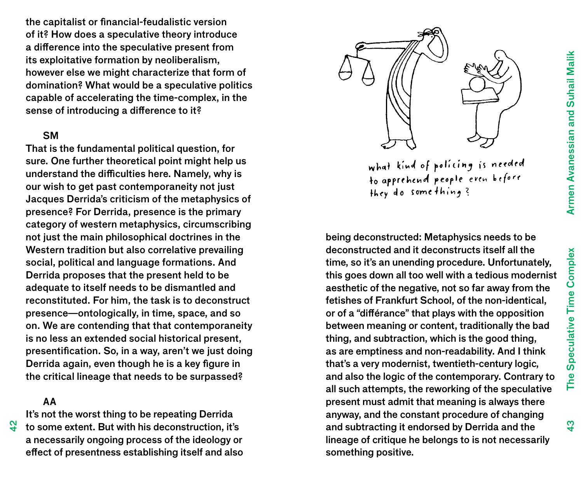the capitalist or financial-feudalistic version of it? How does a speculative theory introduce a difference into the speculative present from its exploitative formation by neoliberalism, however else we might characterize that form of domination? What would be a speculative politics capable of accelerating the time-complex, in the sense of introducing a difference to it?

### SM

That is the fundamental political question, for sure. One further theoretical point might help us understand the difficulties here. Namely, why is our wish to get past contemporaneity not just Jacques Derrida's criticism of the metaphysics of presence? For Derrida, presence is the primary category of western metaphysics, circumscribing not just the main philosophical doctrines in the Western tradition but also correlative prevailing social, political and language formations. And Derrida proposes that the present held to be adequate to itself needs to be dismantled and reconstituted. For him, the task is to deconstruct presence—ontologically, in time, space, and so on. We are contending that that contemporaneity is no less an extended social historical present, presentification. So, in a way, aren't we just doing Derrida again, even though he is a key figure in the critical lineage that needs to be surpassed?

#### AA

ب<br>4

It's not the worst thing to be repeating Derrida to some extent. But with his deconstruction, it's a necessarily ongoing process of the ideology or effect of presentness establishing itself and also



what kind of policing is needed to apprehend people even before they do something?

being deconstructed: Metaphysics needs to be deconstructed and it deconstructs itself all the time, so it's an unending procedure. Unfortunately, this goes down all too well with a tedious modernist aesthetic of the negative, not so far away from the fetishes of Frankfurt School, of the non-identical, or of a "différance" that plays with the opposition between meaning or content, traditionally the bad thing, and subtraction, which is the good thing, as are emptiness and non-readability. And I think that's a very modernist, twentieth-century logic, and also the logic of the contemporary. Contrary to all such attempts, the reworking of the speculative present must admit that meaning is always there anyway, and the constant procedure of changing and subtracting it endorsed by Derrida and the lineage of critique he belongs to is not necessarily something positive.

 $\frac{3}{4}$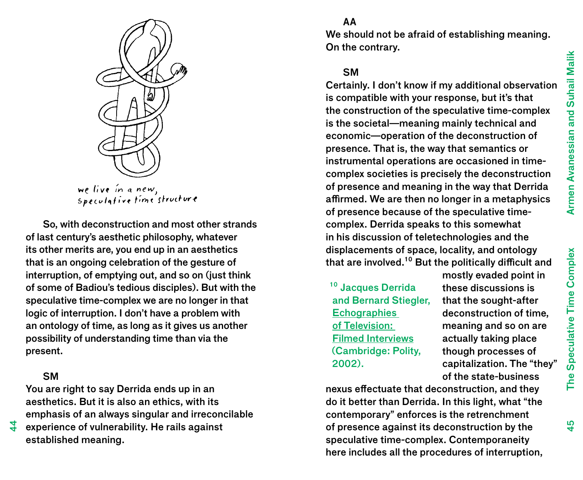

we live in a new,<br>speculative time structure

So, with deconstruction and most other strands of last century's aesthetic philosophy, whatever its other merits are, you end up in an aesthetics that is an ongoing celebration of the gesture of interruption, of emptying out, and so on (just think of some of Badiou's tedious disciples). But with the speculative time-complex we are no longer in that logic of interruption. I don't have a problem with an ontology of time, as long as it gives us another possibility of understanding time than via the present.

# **SM**

4

You are right to say Derrida ends up in an aesthetics. But it is also an ethics, with its emphasis of an always singular and irreconcilable experience of vulnerability. He rails against established meaning.

We should not be afraid of establishing meaning. On the contrary.

# **SM**

AA

Certainly. I don't know if my additional observation is compatible with your response, but it's that the construction of the speculative time-complex is the societal—meaning mainly technical and economic—operation of the deconstruction of presence. That is, the way that semantics or instrumental operations are occasioned in timecomplex societies is precisely the deconstruction of presence and meaning in the way that Derrida affirmed. We are then no longer in a metaphysics of presence because of the speculative timecomplex. Derrida speaks to this somewhat in his discussion of teletechnologies and the displacements of space, locality, and ontology that are involved.<sup>10</sup> But the politically difficult and

<sup>10</sup> Jacques Derrida and Bernard Stiegler, **Echographies** of Television: Filmed Interviews (Cambridge: Polity, 2002).

mostly evaded point in these discussions is that the sought-after deconstruction of time, meaning and so on are actually taking place though processes of capitalization. The "they" of the state-business

nexus effectuate that deconstruction, and they do it better than Derrida. In this light, what "the contemporary" enforces is the retrenchment of presence against its deconstruction by the speculative time-complex. Contemporaneity here includes all the procedures of interruption, Speculative Time Complex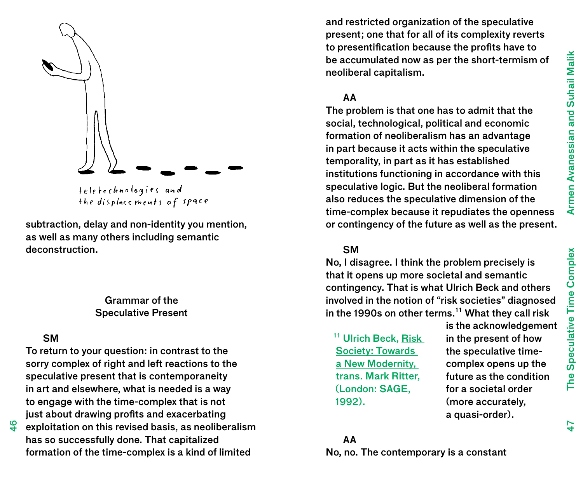

the displacements of space

subtraction, delay and non-identity you mention, as well as many others including semantic deconstruction.

## Grammar of the Speculative Present

## SM

To return to your question: in contrast to the sorry complex of right and left reactions to the speculative present that is contemporaneity in art and elsewhere, what is needed is a way to engage with the time-complex that is not just about drawing profits and exacerbating

exploitation on this revised basis, as neoliberalism has so successfully done. That capitalized formation of the time-complex is a kind of limited

and restricted organization of the speculative present; one that for all of its complexity reverts to presentification because the profits have to be accumulated now as per the short-termism of neoliberal capitalism.

## AA

The problem is that one has to admit that the social, technological, political and economic formation of neoliberalism has an advantage in part because it acts within the speculative temporality, in part as it has established institutions functioning in accordance with this speculative logic. But the neoliberal formation also reduces the speculative dimension of the time-complex because it repudiates the openness or contingency of the future as well as the present.

## SM

No, I disagree. I think the problem precisely is that it opens up more societal and semantic contingency. That is what Ulrich Beck and others involved in the notion of "risk societies" diagnosed in the 1990s on other terms.<sup>11</sup> What they call risk

<sup>11</sup> Ulrich Beck, Risk Society: Towards a New Modernity, trans. Mark Ritter, (London: SAGE, 1992).

is the acknowledgement in the present of how the speculative timecomplex opens up the future as the condition for a societal order (more accurately, a quasi-order).

# AA No, no. The contemporary is a constant

The Speculative Time Complex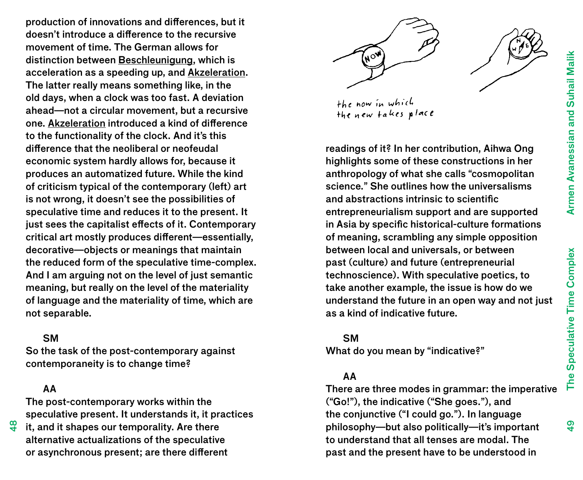production of innovations and differences, but it doesn't introduce a difference to the recursive movement of time. The German allows for distinction between Beschleunigung, which is acceleration as a speeding up, and Akzeleration. The latter really means something like, in the old days, when a clock was too fast. A deviation ahead—not a circular movement, but a recursive one. Akzeleration introduced a kind of difference to the functionality of the clock. And it's this difference that the neoliberal or neofeudal economic system hardly allows for, because it produces an automatized future. While the kind of criticism typical of the contemporary (left) art is not wrong, it doesn't see the possibilities of speculative time and reduces it to the present. It just sees the capitalist effects of it. Contemporary critical art mostly produces different—essentially, decorative—objects or meanings that maintain the reduced form of the speculative time-complex. And I am arguing not on the level of just semantic meaning, but really on the level of the materiality of language and the materiality of time, which are not separable.

## SM

So the task of the post-contemporary against contemporaneity is to change time?

## AA

ক<br>প

The post-contemporary works within the speculative present. It understands it, it practices

it, and it shapes our temporality. Are there alternative actualizations of the speculative or asynchronous present; are there different





readings of it? In her contribution, Aihwa Ong highlights some of these constructions in her anthropology of what she calls "cosmopolitan science." She outlines how the universalisms and abstractions intrinsic to scientific entrepreneurialism support and are supported in Asia by specific historical-culture formations of meaning, scrambling any simple opposition between local and universals, or between past (culture) and future (entrepreneurial technoscience). With speculative poetics, to take another example, the issue is how do we understand the future in an open way and not just as a kind of indicative future.

## SM

What do you mean by "indicative?"

# AA

There are three modes in grammar: the imperative ("Go!"), the indicative ("She goes."), and the conjunctive ("I could go."). In language philosophy—but also politically—it's important to understand that all tenses are modal. The past and the present have to be understood in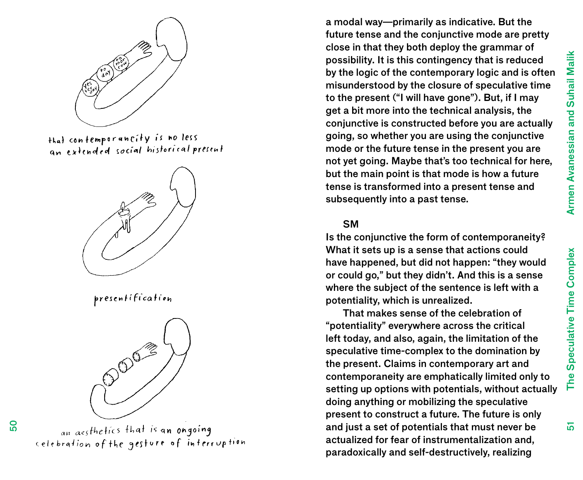51

The Speculative Time Complex



that contemporancity is no less an extended social historical present



presentification



an aesthetics that is an ongoing celebration of the gesture of interruption

a modal way—primarily as indicative. But the future tense and the conjunctive mode are pretty close in that they both deploy the grammar of possibility. It is this contingency that is reduced by the logic of the contemporary logic and is often misunderstood by the closure of speculative time to the present ("I will have gone"). But, if I may get a bit more into the technical analysis, the conjunctive is constructed before you are actually going, so whether you are using the conjunctive mode or the future tense in the present you are not yet going. Maybe that's too technical for here, but the main point is that mode is how a future tense is transformed into a present tense and subsequently into a past tense.

#### **SM**

Is the conjunctive the form of contemporaneity? What it sets up is a sense that actions could have happened, but did not happen: "they would or could go," but they didn't. And this is a sense where the subject of the sentence is left with a potentiality, which is unrealized.

That makes sense of the celebration of "potentiality" everywhere across the critical left today, and also, again, the limitation of the speculative time-complex to the domination by the present. Claims in contemporary art and contemporaneity are emphatically limited only to setting up options with potentials, without actually doing anything or mobilizing the speculative present to construct a future. The future is only and just a set of potentials that must never be actualized for fear of instrumentalization and, paradoxically and self-destructively, realizing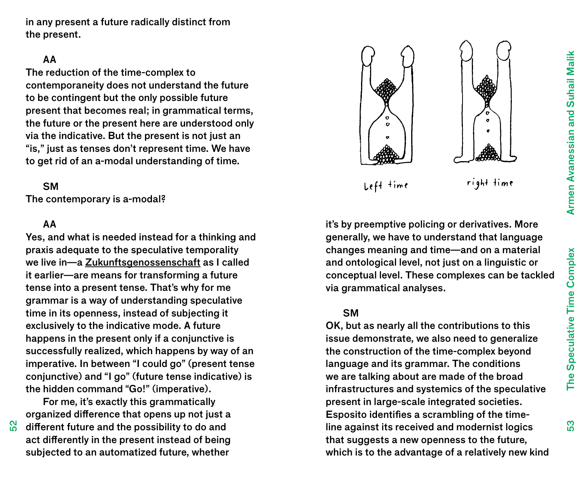Armen Avanessian and Suhail Malik The Speculative Time Complex Armen Avanessian and Suhail Malik

က္က

in any present a future radically distinct from the present.

### AA

The reduction of the time-complex to contemporaneity does not understand the future to be contingent but the only possible future present that becomes real; in grammatical terms, the future or the present here are understood only via the indicative. But the present is not just an "is," just as tenses don't represent time. We have to get rid of an a-modal understanding of time.

### **SM**

The contemporary is a-modal?

#### AA

 $\frac{2}{5}$ 

Yes, and what is needed instead for a thinking and praxis adequate to the speculative temporality we live in—a Zukunftsgenossenschaft as I called it earlier—are means for transforming a future tense into a present tense. That's why for me grammar is a way of understanding speculative time in its openness, instead of subjecting it exclusively to the indicative mode. A future happens in the present only if a conjunctive is successfully realized, which happens by way of an imperative. In between "I could go" (present tense conjunctive) and "I go" (future tense indicative) is the hidden command "Go!" (imperative).

For me, it's exactly this grammatically organized difference that opens up not just a different future and the possibility to do and act differently in the present instead of being subjected to an automatized future, whether



it's by preemptive policing or derivatives. More generally, we have to understand that language changes meaning and time—and on a material and ontological level, not just on a linguistic or conceptual level. These complexes can be tackled via grammatical analyses.

### SM

OK, but as nearly all the contributions to this issue demonstrate, we also need to generalize the construction of the time-complex beyond language and its grammar. The conditions we are talking about are made of the broad infrastructures and systemics of the speculative present in large-scale integrated societies. Esposito identifies a scrambling of the timeline against its received and modernist logics that suggests a new openness to the future, which is to the advantage of a relatively new kind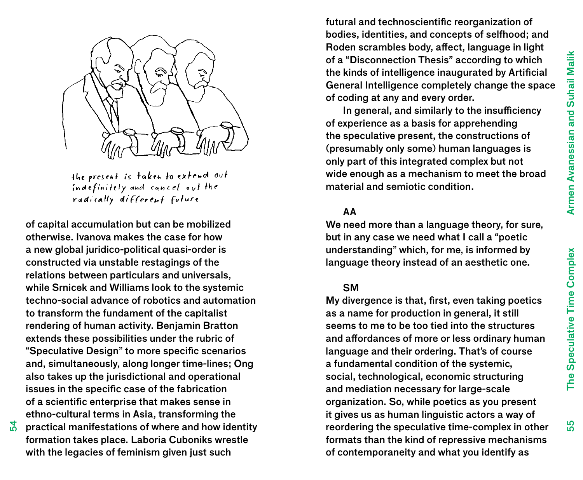55



the present is taken to extend out indefinitely and cancel out the radically different future

of capital accumulation but can be mobilized otherwise. Ivanova makes the case for how a new global juridico-political quasi-order is constructed via unstable restagings of the relations between particulars and universals, while Srnicek and Williams look to the systemic techno-social advance of robotics and automation to transform the fundament of the capitalist rendering of human activity. Benjamin Bratton extends these possibilities under the rubric of "Speculative Design" to more specific scenarios and, simultaneously, along longer time-lines; Ong also takes up the jurisdictional and operational issues in the specific case of the fabrication of a scientific enterprise that makes sense in ethno-cultural terms in Asia, transforming the

practical manifestations of where and how identity formation takes place. Laboria Cuboniks wrestle with the legacies of feminism given just such

 $\frac{1}{2}$ 

futural and technoscientific reorganization of bodies, identities, and concepts of selfhood; and Roden scrambles body, affect, language in light of a "Disconnection Thesis" according to which the kinds of intelligence inaugurated by Artificial General Intelligence completely change the space of coding at any and every order.

In general, and similarly to the insufficiency of experience as a basis for apprehending the speculative present, the constructions of (presumably only some) human languages is only part of this integrated complex but not wide enough as a mechanism to meet the broad material and semiotic condition.

## AA

We need more than a language theory, for sure, but in any case we need what I call a "poetic understanding" which, for me, is informed by language theory instead of an aesthetic one.

#### SM

My divergence is that, first, even taking poetics as a name for production in general, it still seems to me to be too tied into the structures and affordances of more or less ordinary human language and their ordering. That's of course a fundamental condition of the systemic, social, technological, economic structuring and mediation necessary for large-scale organization. So, while poetics as you present it gives us as human linguistic actors a way of reordering the speculative time-complex in other formats than the kind of repressive mechanisms of contemporaneity and what you identify as